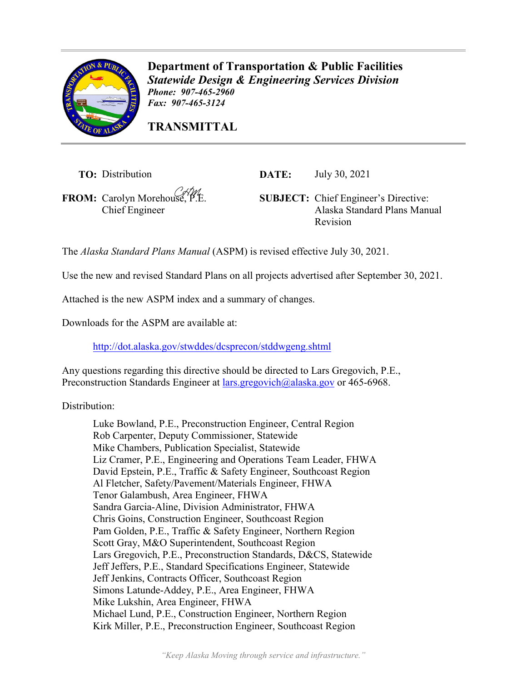

**Department of Transportation & Public Facilities** *Statewide Design & Engineering Services Division Phone: 907-465-2960 Fax: 907-465-3124* 

**TRANSMITTAL**

**TO:** Distribution **DATE:** July 30, 2021

Chief Engineer

**FROM:** Carolyn Morehouse, P.E. **SUBJECT:** Chief Engineer's Directive: Alaska Standard Plans Manual Revision

The *Alaska Standard Plans Manual* (ASPM) is revised effective July 30, 2021.

Use the new and revised Standard Plans on all projects advertised after September 30, 2021.

Attached is the new ASPM index and a summary of changes.

Downloads for the ASPM are available at:

<http://dot.alaska.gov/stwddes/dcsprecon/stddwgeng.shtml>

Any questions regarding this directive should be directed to Lars Gregovich, P.E., Preconstruction Standards Engineer at [lars.gregovich@alaska.gov](mailto:lars.gregovich@alaska.gov) or 465-6968.

Distribution:

Luke Bowland, P.E., Preconstruction Engineer, Central Region Rob Carpenter, Deputy Commissioner, Statewide Mike Chambers, Publication Specialist, Statewide Liz Cramer, P.E., Engineering and Operations Team Leader, FHWA David Epstein, P.E., Traffic & Safety Engineer, Southcoast Region Al Fletcher, Safety/Pavement/Materials Engineer, FHWA Tenor Galambush, Area Engineer, FHWA Sandra Garcia-Aline, Division Administrator, FHWA Chris Goins, Construction Engineer, Southcoast Region Pam Golden, P.E., Traffic & Safety Engineer, Northern Region Scott Gray, M&O Superintendent, Southcoast Region Lars Gregovich, P.E., Preconstruction Standards, D&CS, Statewide Jeff Jeffers, P.E., Standard Specifications Engineer, Statewide Jeff Jenkins, Contracts Officer, Southcoast Region Simons Latunde-Addey, P.E., Area Engineer, FHWA Mike Lukshin, Area Engineer, FHWA Michael Lund, P.E., Construction Engineer, Northern Region Kirk Miller, P.E., Preconstruction Engineer, Southcoast Region